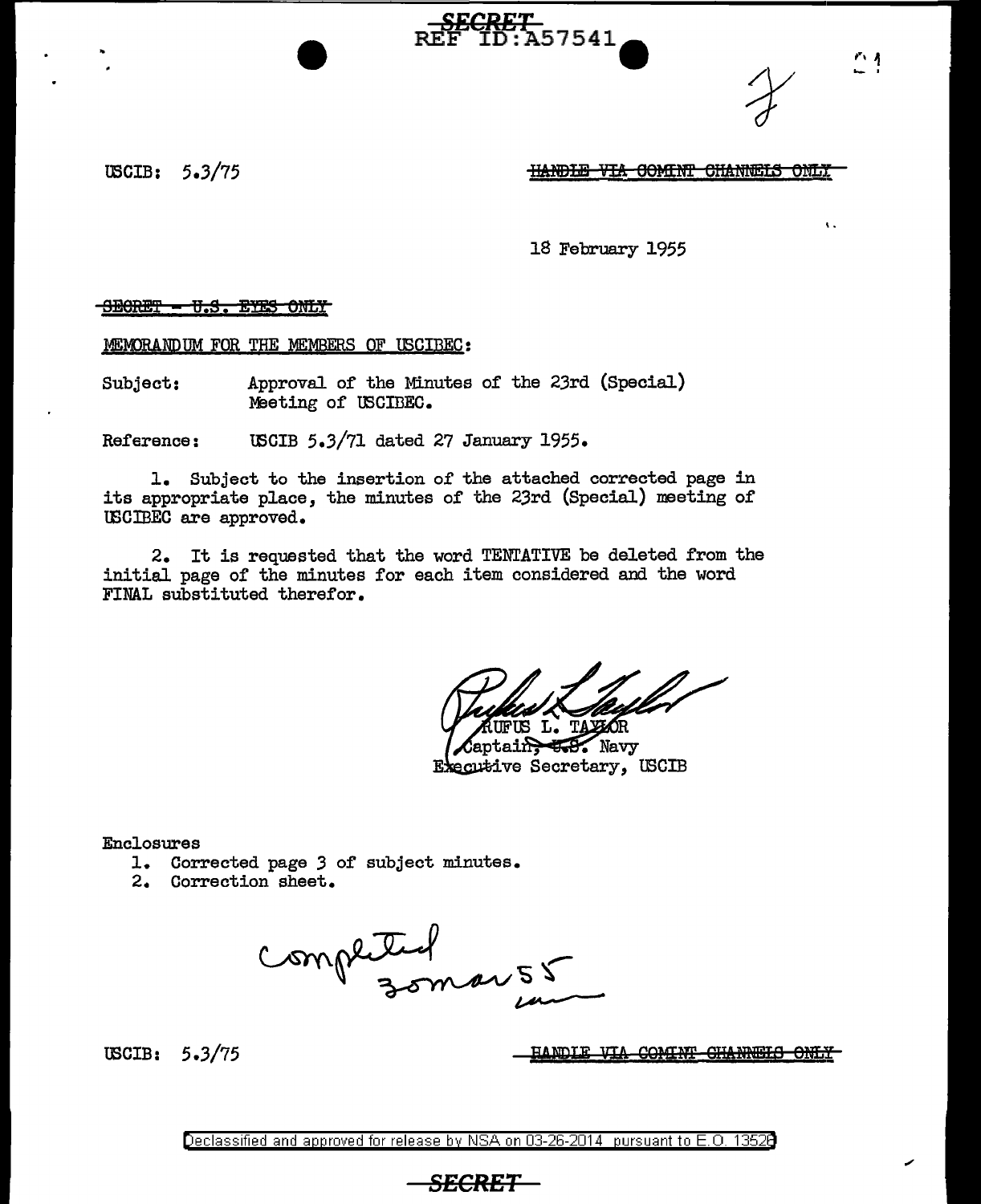USCIB: 5.3/75 IIANDEE VIA COMINT CHANNELS ONLY

..

 $\mathbf{r}$ ,  $\mathbf{r}$ ..... '

18 February 1955

SECRET<br>REF ID:A57541

SECRET - U.S. EYES ONLY

MEMORANDUM FOR THE MEMBERS OF USCIBEC:

Subject: Approval of the Minutes of the 23rd (Special) Meeting of USCIBEC.

Reference: lBCIB 5.3/71 dated 27 January 1955.

1. Subject to the insertion of the attached corrected page in its appropriate place, the minutes of the 23rd (Special) meeting of IBCIBEC are approved.

2. It is requested that the word TENTATIVE be deleted from the initial page of the minutes for each item considered and the word FINAL substituted therefor.

FUS L. T $\ell$ 

Captain, 558. Navy Executive Secretary, USCIB

Enclosures

- 1. Corrected page *3* of subject minutes.
- 2. Correction sheet.

completed

tBCIB: 5 .3/75

HANDIE VIA COMINT CHANNELS ONLY

Declassified and approved for release by NSA on 03-26-2014 pursuant to E. 0. 1352B

*SECRET*